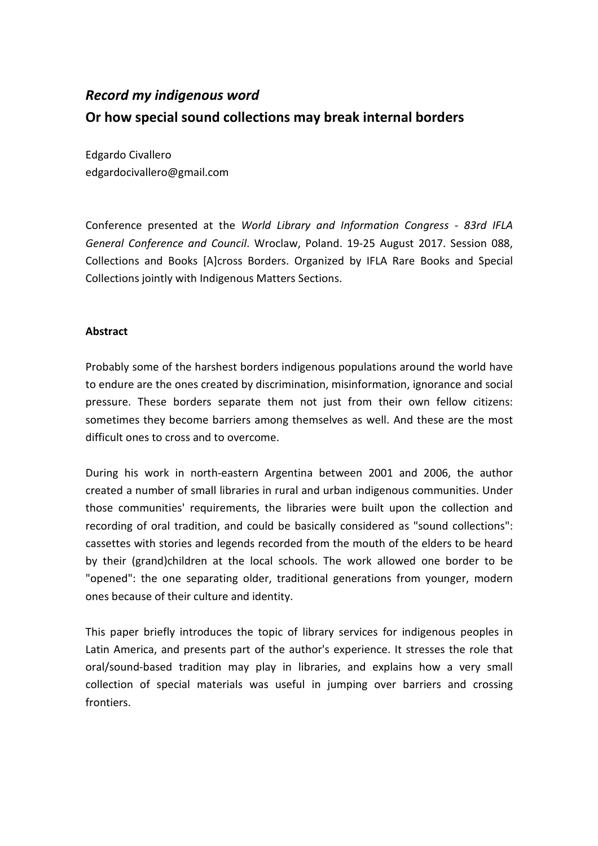# *Record my indigenous word* **Or how special sound collections may break internal borders**

Edgardo Civallero edgardocivallero@gmail.com

Conference presented at the *World Library and Information Congress - 83rd IFLA General Conference and Council*. Wroclaw, Poland. 19-25 August 2017. Session 088, Collections and Books [A]cross Borders. Organized by IFLA Rare Books and Special Collections jointly with Indigenous Matters Sections.

## **Abstract**

Probably some of the harshest borders indigenous populations around the world have to endure are the ones created by discrimination, misinformation, ignorance and social pressure. These borders separate them not just from their own fellow citizens: sometimes they become barriers among themselves as well. And these are the most difficult ones to cross and to overcome.

During his work in north-eastern Argentina between 2001 and 2006, the author created a number of small libraries in rural and urban indigenous communities. Under those communities' requirements, the libraries were built upon the collection and recording of oral tradition, and could be basically considered as "sound collections": cassettes with stories and legends recorded from the mouth of the elders to be heard by their (grand)children at the local schools. The work allowed one border to be "opened": the one separating older, traditional generations from younger, modern ones because of their culture and identity.

This paper briefly introduces the topic of library services for indigenous peoples in Latin America, and presents part of the author's experience. It stresses the role that oral/sound-based tradition may play in libraries, and explains how a very small collection of special materials was useful in jumping over barriers and crossing frontiers.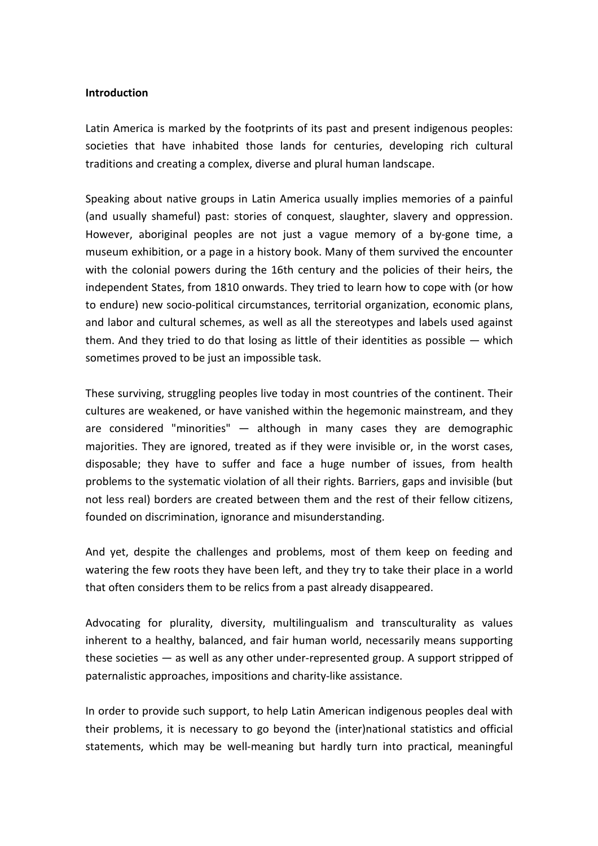#### **Introduction**

Latin America is marked by the footprints of its past and present indigenous peoples: societies that have inhabited those lands for centuries, developing rich cultural traditions and creating a complex, diverse and plural human landscape.

Speaking about native groups in Latin America usually implies memories of a painful (and usually shameful) past: stories of conquest, slaughter, slavery and oppression. However, aboriginal peoples are not just a vague memory of a by-gone time, a museum exhibition, or a page in a history book. Many of them survived the encounter with the colonial powers during the 16th century and the policies of their heirs, the independent States, from 1810 onwards. They tried to learn how to cope with (or how to endure) new socio-political circumstances, territorial organization, economic plans, and labor and cultural schemes, as well as all the stereotypes and labels used against them. And they tried to do that losing as little of their identities as possible  $-$  which sometimes proved to be just an impossible task.

These surviving, struggling peoples live today in most countries of the continent. Their cultures are weakened, or have vanished within the hegemonic mainstream, and they are considered "minorities" — although in many cases they are demographic majorities. They are ignored, treated as if they were invisible or, in the worst cases, disposable; they have to suffer and face a huge number of issues, from health problems to the systematic violation of all their rights. Barriers, gaps and invisible (but not less real) borders are created between them and the rest of their fellow citizens, founded on discrimination, ignorance and misunderstanding.

And yet, despite the challenges and problems, most of them keep on feeding and watering the few roots they have been left, and they try to take their place in a world that often considers them to be relics from a past already disappeared.

Advocating for plurality, diversity, multilingualism and transculturality as values inherent to a healthy, balanced, and fair human world, necessarily means supporting these societies — as well as any other under-represented group. A support stripped of paternalistic approaches, impositions and charity-like assistance.

In order to provide such support, to help Latin American indigenous peoples deal with their problems, it is necessary to go beyond the (inter)national statistics and official statements, which may be well-meaning but hardly turn into practical, meaningful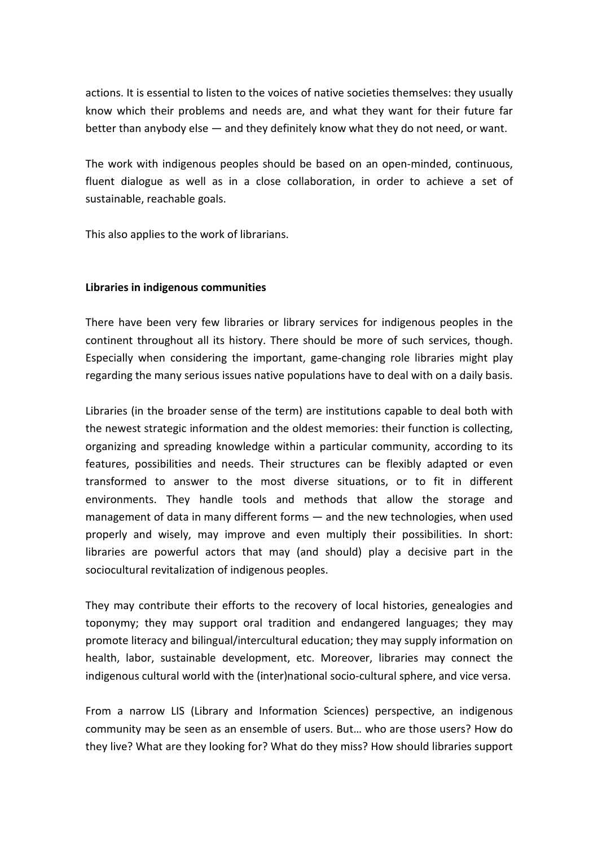actions. It is essential to listen to the voices of native societies themselves: they usually know which their problems and needs are, and what they want for their future far better than anybody else — and they definitely know what they do not need, or want.

The work with indigenous peoples should be based on an open-minded, continuous, fluent dialogue as well as in a close collaboration, in order to achieve a set of sustainable, reachable goals.

This also applies to the work of librarians.

## **Libraries in indigenous communities**

There have been very few libraries or library services for indigenous peoples in the continent throughout all its history. There should be more of such services, though. Especially when considering the important, game-changing role libraries might play regarding the many serious issues native populations have to deal with on a daily basis.

Libraries (in the broader sense of the term) are institutions capable to deal both with the newest strategic information and the oldest memories: their function is collecting, organizing and spreading knowledge within a particular community, according to its features, possibilities and needs. Their structures can be flexibly adapted or even transformed to answer to the most diverse situations, or to fit in different environments. They handle tools and methods that allow the storage and management of data in many different forms — and the new technologies, when used properly and wisely, may improve and even multiply their possibilities. In short: libraries are powerful actors that may (and should) play a decisive part in the sociocultural revitalization of indigenous peoples.

They may contribute their efforts to the recovery of local histories, genealogies and toponymy; they may support oral tradition and endangered languages; they may promote literacy and bilingual/intercultural education; they may supply information on health, labor, sustainable development, etc. Moreover, libraries may connect the indigenous cultural world with the (inter)national socio-cultural sphere, and vice versa.

From a narrow LIS (Library and Information Sciences) perspective, an indigenous community may be seen as an ensemble of users. But… who are those users? How do they live? What are they looking for? What do they miss? How should libraries support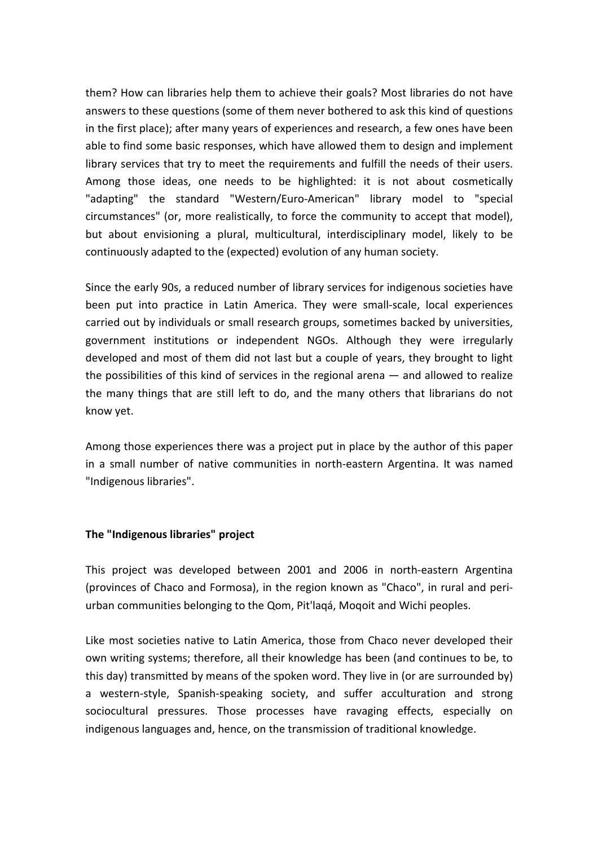them? How can libraries help them to achieve their goals? Most libraries do not have answers to these questions (some of them never bothered to ask this kind of questions in the first place); after many years of experiences and research, a few ones have been able to find some basic responses, which have allowed them to design and implement library services that try to meet the requirements and fulfill the needs of their users. Among those ideas, one needs to be highlighted: it is not about cosmetically "adapting" the standard "Western/Euro-American" library model to "special circumstances" (or, more realistically, to force the community to accept that model), but about envisioning a plural, multicultural, interdisciplinary model, likely to be continuously adapted to the (expected) evolution of any human society.

Since the early 90s, a reduced number of library services for indigenous societies have been put into practice in Latin America. They were small-scale, local experiences carried out by individuals or small research groups, sometimes backed by universities, government institutions or independent NGOs. Although they were irregularly developed and most of them did not last but a couple of years, they brought to light the possibilities of this kind of services in the regional arena — and allowed to realize the many things that are still left to do, and the many others that librarians do not know yet.

Among those experiences there was a project put in place by the author of this paper in a small number of native communities in north-eastern Argentina. It was named "Indigenous libraries".

#### **The "Indigenous libraries" project**

This project was developed between 2001 and 2006 in north-eastern Argentina (provinces of Chaco and Formosa), in the region known as "Chaco", in rural and periurban communities belonging to the Qom, Pit'laqá, Moqoit and Wichi peoples.

Like most societies native to Latin America, those from Chaco never developed their own writing systems; therefore, all their knowledge has been (and continues to be, to this day) transmitted by means of the spoken word. They live in (or are surrounded by) a western-style, Spanish-speaking society, and suffer acculturation and strong sociocultural pressures. Those processes have ravaging effects, especially on indigenous languages and, hence, on the transmission of traditional knowledge.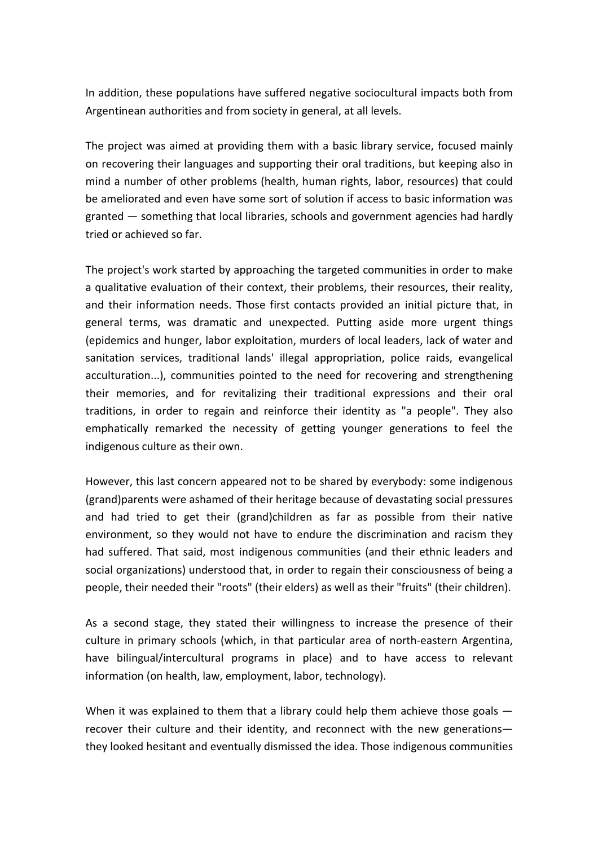In addition, these populations have suffered negative sociocultural impacts both from Argentinean authorities and from society in general, at all levels.

The project was aimed at providing them with a basic library service, focused mainly on recovering their languages and supporting their oral traditions, but keeping also in mind a number of other problems (health, human rights, labor, resources) that could be ameliorated and even have some sort of solution if access to basic information was granted — something that local libraries, schools and government agencies had hardly tried or achieved so far.

The project's work started by approaching the targeted communities in order to make a qualitative evaluation of their context, their problems, their resources, their reality, and their information needs. Those first contacts provided an initial picture that, in general terms, was dramatic and unexpected. Putting aside more urgent things (epidemics and hunger, labor exploitation, murders of local leaders, lack of water and sanitation services, traditional lands' illegal appropriation, police raids, evangelical acculturation...), communities pointed to the need for recovering and strengthening their memories, and for revitalizing their traditional expressions and their oral traditions, in order to regain and reinforce their identity as "a people". They also emphatically remarked the necessity of getting younger generations to feel the indigenous culture as their own.

However, this last concern appeared not to be shared by everybody: some indigenous (grand)parents were ashamed of their heritage because of devastating social pressures and had tried to get their (grand)children as far as possible from their native environment, so they would not have to endure the discrimination and racism they had suffered. That said, most indigenous communities (and their ethnic leaders and social organizations) understood that, in order to regain their consciousness of being a people, their needed their "roots" (their elders) as well as their "fruits" (their children).

As a second stage, they stated their willingness to increase the presence of their culture in primary schools (which, in that particular area of north-eastern Argentina, have bilingual/intercultural programs in place) and to have access to relevant information (on health, law, employment, labor, technology).

When it was explained to them that a library could help them achieve those goals recover their culture and their identity, and reconnect with the new generations they looked hesitant and eventually dismissed the idea. Those indigenous communities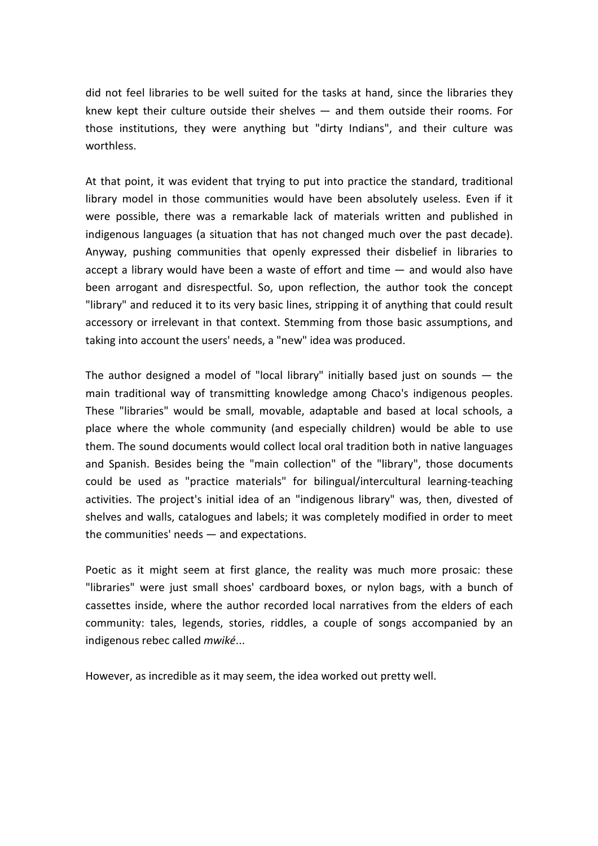did not feel libraries to be well suited for the tasks at hand, since the libraries they knew kept their culture outside their shelves — and them outside their rooms. For those institutions, they were anything but "dirty Indians", and their culture was worthless.

At that point, it was evident that trying to put into practice the standard, traditional library model in those communities would have been absolutely useless. Even if it were possible, there was a remarkable lack of materials written and published in indigenous languages (a situation that has not changed much over the past decade). Anyway, pushing communities that openly expressed their disbelief in libraries to accept a library would have been a waste of effort and time — and would also have been arrogant and disrespectful. So, upon reflection, the author took the concept "library" and reduced it to its very basic lines, stripping it of anything that could result accessory or irrelevant in that context. Stemming from those basic assumptions, and taking into account the users' needs, a "new" idea was produced.

The author designed a model of "local library" initially based just on sounds  $-$  the main traditional way of transmitting knowledge among Chaco's indigenous peoples. These "libraries" would be small, movable, adaptable and based at local schools, a place where the whole community (and especially children) would be able to use them. The sound documents would collect local oral tradition both in native languages and Spanish. Besides being the "main collection" of the "library", those documents could be used as "practice materials" for bilingual/intercultural learning-teaching activities. The project's initial idea of an "indigenous library" was, then, divested of shelves and walls, catalogues and labels; it was completely modified in order to meet the communities' needs — and expectations.

Poetic as it might seem at first glance, the reality was much more prosaic: these "libraries" were just small shoes' cardboard boxes, or nylon bags, with a bunch of cassettes inside, where the author recorded local narratives from the elders of each community: tales, legends, stories, riddles, a couple of songs accompanied by an indigenous rebec called *mwiké*...

However, as incredible as it may seem, the idea worked out pretty well.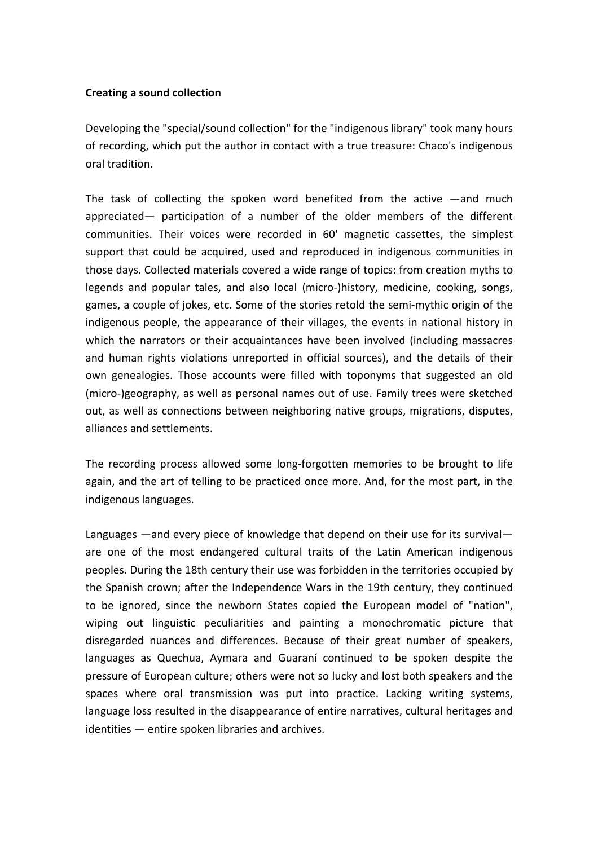#### **Creating a sound collection**

Developing the "special/sound collection" for the "indigenous library" took many hours of recording, which put the author in contact with a true treasure: Chaco's indigenous oral tradition.

The task of collecting the spoken word benefited from the active —and much appreciated— participation of a number of the older members of the different communities. Their voices were recorded in 60' magnetic cassettes, the simplest support that could be acquired, used and reproduced in indigenous communities in those days. Collected materials covered a wide range of topics: from creation myths to legends and popular tales, and also local (micro-)history, medicine, cooking, songs, games, a couple of jokes, etc. Some of the stories retold the semi-mythic origin of the indigenous people, the appearance of their villages, the events in national history in which the narrators or their acquaintances have been involved (including massacres and human rights violations unreported in official sources), and the details of their own genealogies. Those accounts were filled with toponyms that suggested an old (micro-)geography, as well as personal names out of use. Family trees were sketched out, as well as connections between neighboring native groups, migrations, disputes, alliances and settlements.

The recording process allowed some long-forgotten memories to be brought to life again, and the art of telling to be practiced once more. And, for the most part, in the indigenous languages.

Languages —and every piece of knowledge that depend on their use for its survival are one of the most endangered cultural traits of the Latin American indigenous peoples. During the 18th century their use was forbidden in the territories occupied by the Spanish crown; after the Independence Wars in the 19th century, they continued to be ignored, since the newborn States copied the European model of "nation", wiping out linguistic peculiarities and painting a monochromatic picture that disregarded nuances and differences. Because of their great number of speakers, languages as Quechua, Aymara and Guaraní continued to be spoken despite the pressure of European culture; others were not so lucky and lost both speakers and the spaces where oral transmission was put into practice. Lacking writing systems, language loss resulted in the disappearance of entire narratives, cultural heritages and identities — entire spoken libraries and archives.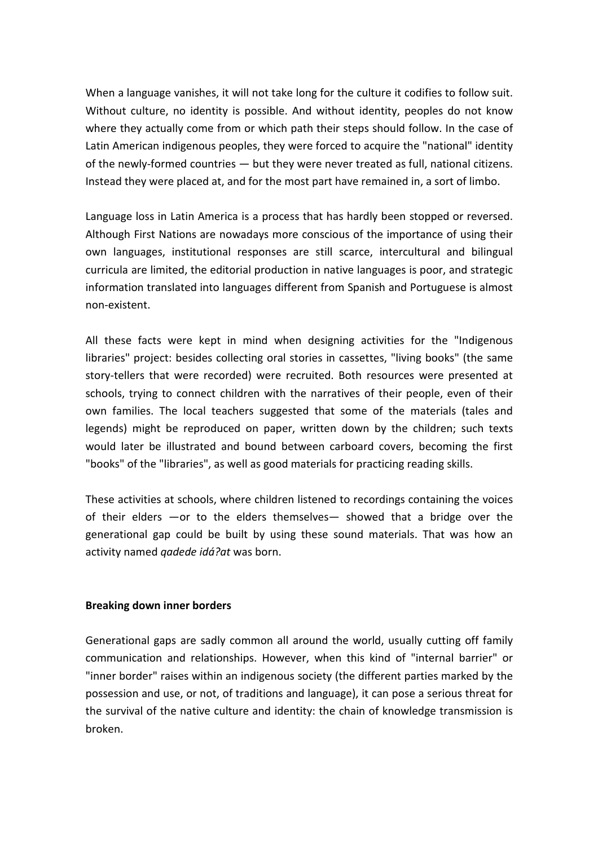When a language vanishes, it will not take long for the culture it codifies to follow suit. Without culture, no identity is possible. And without identity, peoples do not know where they actually come from or which path their steps should follow. In the case of Latin American indigenous peoples, they were forced to acquire the "national" identity of the newly-formed countries — but they were never treated as full, national citizens. Instead they were placed at, and for the most part have remained in, a sort of limbo.

Language loss in Latin America is a process that has hardly been stopped or reversed. Although First Nations are nowadays more conscious of the importance of using their own languages, institutional responses are still scarce, intercultural and bilingual curricula are limited, the editorial production in native languages is poor, and strategic information translated into languages different from Spanish and Portuguese is almost non-existent.

All these facts were kept in mind when designing activities for the "Indigenous libraries" project: besides collecting oral stories in cassettes, "living books" (the same story-tellers that were recorded) were recruited. Both resources were presented at schools, trying to connect children with the narratives of their people, even of their own families. The local teachers suggested that some of the materials (tales and legends) might be reproduced on paper, written down by the children; such texts would later be illustrated and bound between carboard covers, becoming the first "books" of the "libraries", as well as good materials for practicing reading skills.

These activities at schools, where children listened to recordings containing the voices of their elders —or to the elders themselves— showed that a bridge over the generational gap could be built by using these sound materials. That was how an activity named *qadede idá?at* was born.

## **Breaking down inner borders**

Generational gaps are sadly common all around the world, usually cutting off family communication and relationships. However, when this kind of "internal barrier" or "inner border" raises within an indigenous society (the different parties marked by the possession and use, or not, of traditions and language), it can pose a serious threat for the survival of the native culture and identity: the chain of knowledge transmission is broken.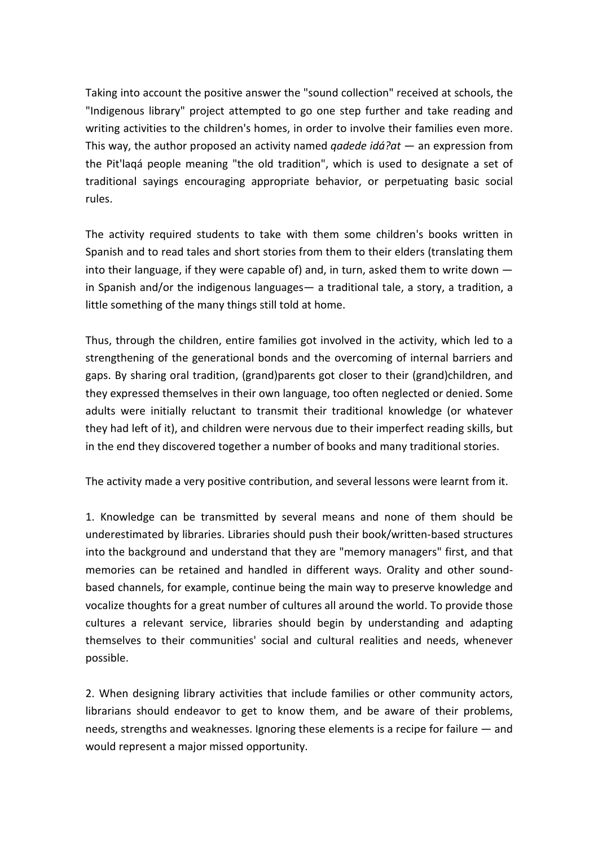Taking into account the positive answer the "sound collection" received at schools, the "Indigenous library" project attempted to go one step further and take reading and writing activities to the children's homes, in order to involve their families even more. This way, the author proposed an activity named *qadede idá?at* — an expression from the Pit'laqá people meaning "the old tradition", which is used to designate a set of traditional sayings encouraging appropriate behavior, or perpetuating basic social rules.

The activity required students to take with them some children's books written in Spanish and to read tales and short stories from them to their elders (translating them into their language, if they were capable of) and, in turn, asked them to write down in Spanish and/or the indigenous languages— a traditional tale, a story, a tradition, a little something of the many things still told at home.

Thus, through the children, entire families got involved in the activity, which led to a strengthening of the generational bonds and the overcoming of internal barriers and gaps. By sharing oral tradition, (grand)parents got closer to their (grand)children, and they expressed themselves in their own language, too often neglected or denied. Some adults were initially reluctant to transmit their traditional knowledge (or whatever they had left of it), and children were nervous due to their imperfect reading skills, but in the end they discovered together a number of books and many traditional stories.

The activity made a very positive contribution, and several lessons were learnt from it.

1. Knowledge can be transmitted by several means and none of them should be underestimated by libraries. Libraries should push their book/written-based structures into the background and understand that they are "memory managers" first, and that memories can be retained and handled in different ways. Orality and other soundbased channels, for example, continue being the main way to preserve knowledge and vocalize thoughts for a great number of cultures all around the world. To provide those cultures a relevant service, libraries should begin by understanding and adapting themselves to their communities' social and cultural realities and needs, whenever possible.

2. When designing library activities that include families or other community actors, librarians should endeavor to get to know them, and be aware of their problems, needs, strengths and weaknesses. Ignoring these elements is a recipe for failure — and would represent a major missed opportunity.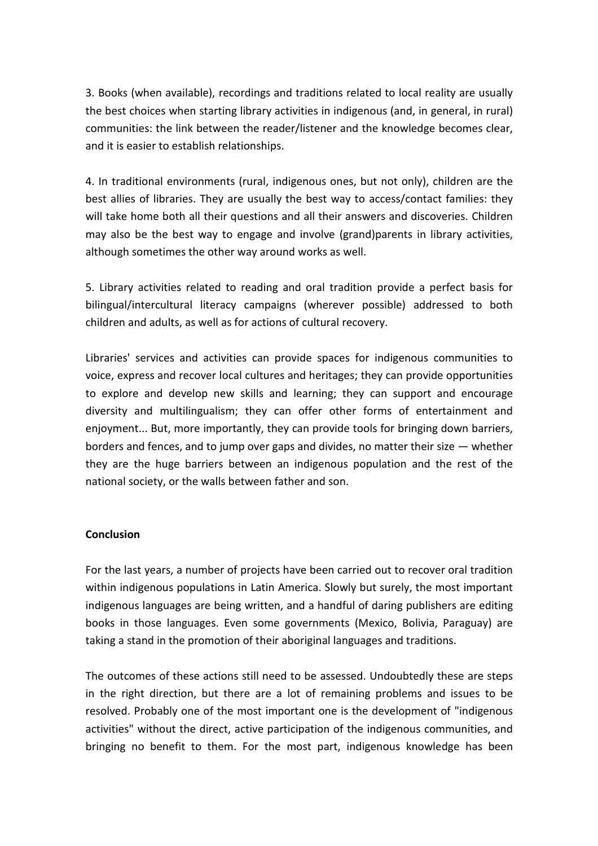3. Books (when available), recordings and traditions related to local reality are usually the best choices when starting library activities in indigenous (and, in general, in rural) communities: the link between the reader/listener and the knowledge becomes clear, and it is easier to establish relationships.

4. In traditional environments (rural, indigenous ones, but not only), children are the best allies of libraries. They are usually the best way to access/contact families: they will take home both all their questions and all their answers and discoveries. Children may also be the best way to engage and involve (grand)parents in library activities, although sometimes the other way around works as well.

5. Library activities related to reading and oral tradition provide a perfect basis for bilingual/intercultural literacy campaigns (wherever possible) addressed to both children and adults, as well as for actions of cultural recovery.

Libraries' services and activities can provide spaces for indigenous communities to voice, express and recover local cultures and heritages; they can provide opportunities to explore and develop new skills and learning; they can support and encourage diversity and multilingualism; they can offer other forms of entertainment and enjoyment... But, more importantly, they can provide tools for bringing down barriers, borders and fences, and to jump over gaps and divides, no matter their size — whether they are the huge barriers between an indigenous population and the rest of the national society, or the walls between father and son.

#### **Conclusion**

For the last years, a number of projects have been carried out to recover oral tradition within indigenous populations in Latin America. Slowly but surely, the most important indigenous languages are being written, and a handful of daring publishers are editing books in those languages. Even some governments (Mexico, Bolivia, Paraguay) are taking a stand in the promotion of their aboriginal languages and traditions.

The outcomes of these actions still need to be assessed. Undoubtedly these are steps in the right direction, but there are a lot of remaining problems and issues to be resolved. Probably one of the most important one is the development of "indigenous activities" without the direct, active participation of the indigenous communities, and bringing no benefit to them. For the most part, indigenous knowledge has been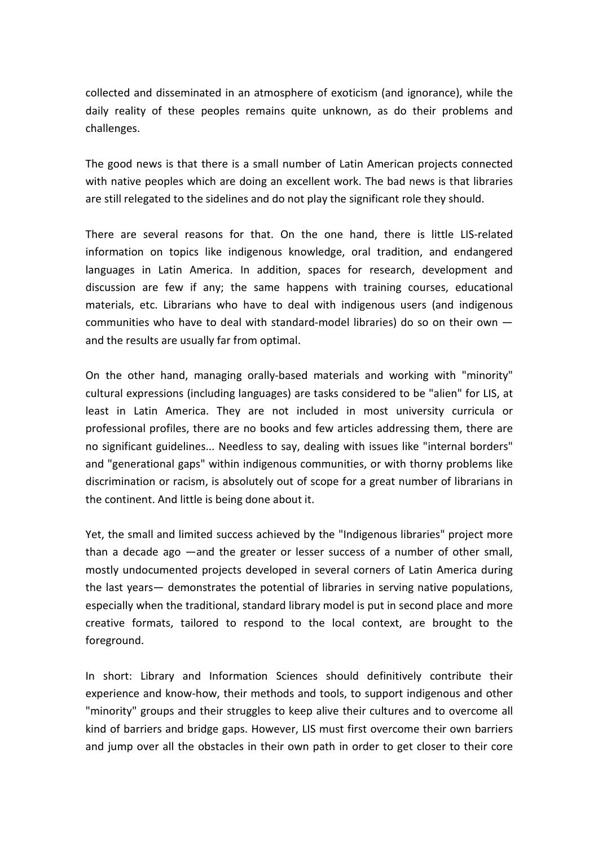collected and disseminated in an atmosphere of exoticism (and ignorance), while the daily reality of these peoples remains quite unknown, as do their problems and challenges.

The good news is that there is a small number of Latin American projects connected with native peoples which are doing an excellent work. The bad news is that libraries are still relegated to the sidelines and do not play the significant role they should.

There are several reasons for that. On the one hand, there is little LIS-related information on topics like indigenous knowledge, oral tradition, and endangered languages in Latin America. In addition, spaces for research, development and discussion are few if any; the same happens with training courses, educational materials, etc. Librarians who have to deal with indigenous users (and indigenous communities who have to deal with standard-model libraries) do so on their own and the results are usually far from optimal.

On the other hand, managing orally-based materials and working with "minority" cultural expressions (including languages) are tasks considered to be "alien" for LIS, at least in Latin America. They are not included in most university curricula or professional profiles, there are no books and few articles addressing them, there are no significant guidelines... Needless to say, dealing with issues like "internal borders" and "generational gaps" within indigenous communities, or with thorny problems like discrimination or racism, is absolutely out of scope for a great number of librarians in the continent. And little is being done about it.

Yet, the small and limited success achieved by the "Indigenous libraries" project more than a decade ago —and the greater or lesser success of a number of other small, mostly undocumented projects developed in several corners of Latin America during the last years— demonstrates the potential of libraries in serving native populations, especially when the traditional, standard library model is put in second place and more creative formats, tailored to respond to the local context, are brought to the foreground.

In short: Library and Information Sciences should definitively contribute their experience and know-how, their methods and tools, to support indigenous and other "minority" groups and their struggles to keep alive their cultures and to overcome all kind of barriers and bridge gaps. However, LIS must first overcome their own barriers and jump over all the obstacles in their own path in order to get closer to their core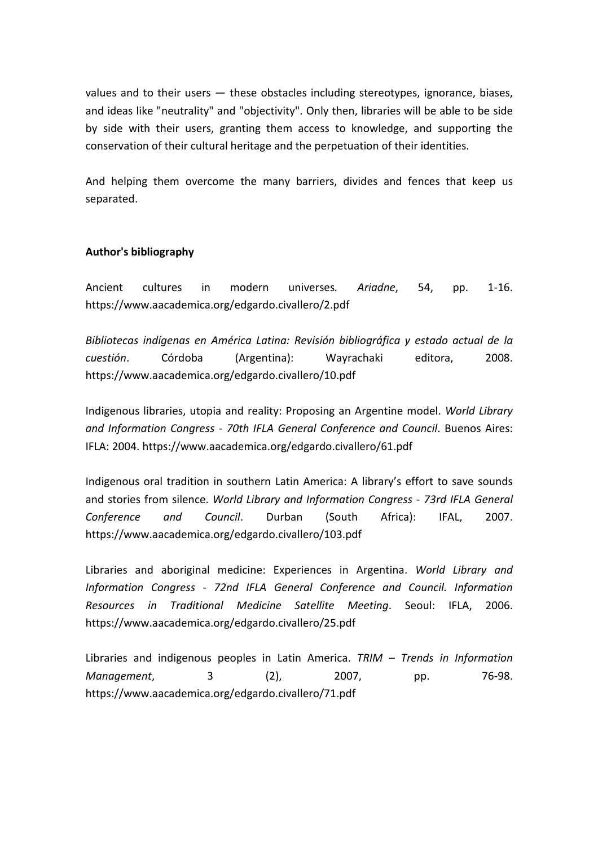values and to their users — these obstacles including stereotypes, ignorance, biases, and ideas like "neutrality" and "objectivity". Only then, libraries will be able to be side by side with their users, granting them access to knowledge, and supporting the conservation of their cultural heritage and the perpetuation of their identities.

And helping them overcome the many barriers, divides and fences that keep us separated.

## **Author's bibliography**

Ancient cultures in modern universes*. Ariadne*, 54, pp. 1-16. https://www.aacademica.org/edgardo.civallero/2.pdf

*Bibliotecas indígenas en América Latina: Revisión bibliográfica y estado actual de la cuestión*. Córdoba (Argentina): Wayrachaki editora, 2008. https://www.aacademica.org/edgardo.civallero/10.pdf

Indigenous libraries, utopia and reality: Proposing an Argentine model. *World Library and Information Congress - 70th IFLA General Conference and Council*. Buenos Aires: IFLA: 2004. https://www.aacademica.org/edgardo.civallero/61.pdf

Indigenous oral tradition in southern Latin America: A library's effort to save sounds and stories from silence. *World Library and Information Congress - 73rd IFLA General Conference and Council*. Durban (South Africa): IFAL, 2007. https://www.aacademica.org/edgardo.civallero/103.pdf

Libraries and aboriginal medicine: Experiences in Argentina. *World Library and Information Congress - 72nd IFLA General Conference and Council. Information Resources in Traditional Medicine Satellite Meeting*. Seoul: IFLA, 2006. https://www.aacademica.org/edgardo.civallero/25.pdf

Libraries and indigenous peoples in Latin America. *TRIM – Trends in Information Management*, 3 (2), 2007, pp. 76-98. https://www.aacademica.org/edgardo.civallero/71.pdf